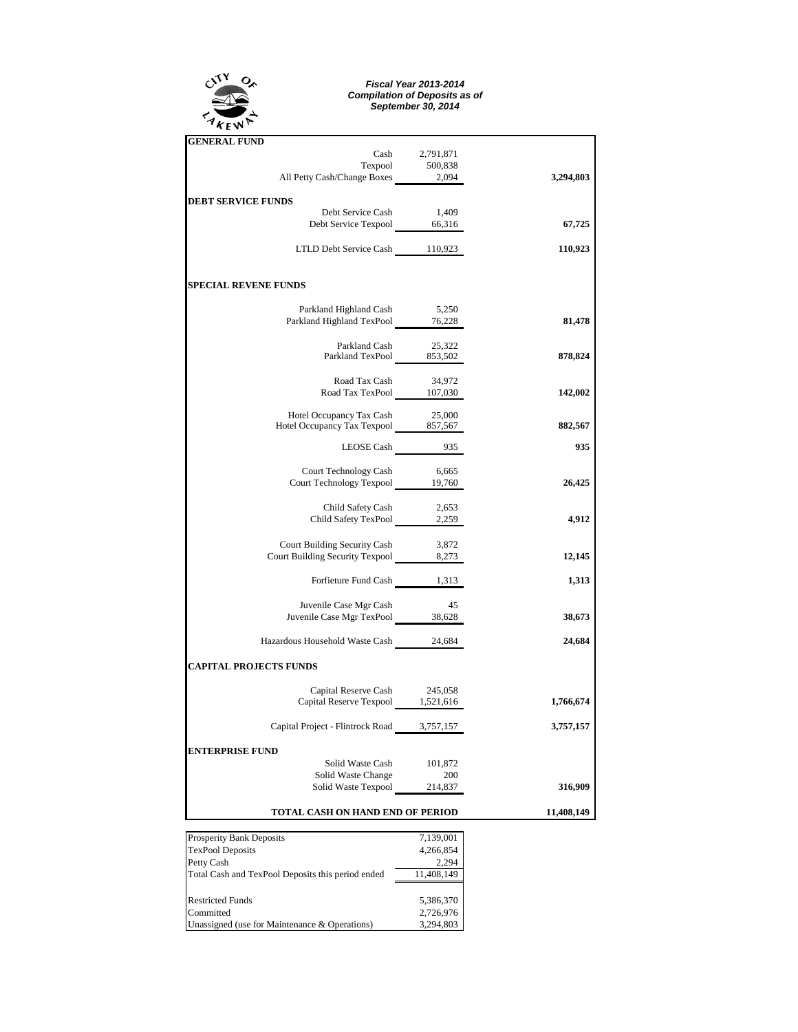

## *Fiscal Year 2013-2014 Compilation of Deposits as of September 30, 2014*

| <b>GENERAL FUND</b>                                                    |                                          |            |
|------------------------------------------------------------------------|------------------------------------------|------------|
|                                                                        | Cash 2,791,871                           |            |
|                                                                        | ${\bf Tex pool} \qquad \qquad 500,\!838$ |            |
| All Petty Cash/Change Boxes 2,094                                      |                                          | 3,294,803  |
|                                                                        |                                          |            |
| <b>DEBT SERVICE FUNDS</b>                                              |                                          |            |
| Debt Service Cash                                                      | 1,409                                    |            |
| Debt Service Texpool 66,316                                            |                                          | 67,725     |
| LTLD Debt Service Cash 110,923                                         |                                          | 110,923    |
|                                                                        |                                          |            |
| <b>SPECIAL REVENE FUNDS</b>                                            |                                          |            |
| Parkland Highland Cash                                                 | 5,250                                    |            |
| Parkland Highland TexPool 76,228                                       |                                          | 81,478     |
|                                                                        |                                          |            |
| Parkland Cash 25,322<br>Parkland TexPool 853,502                       |                                          |            |
|                                                                        |                                          | 878,824    |
| Road Tax Cash                                                          | 34,972                                   |            |
| Road Tax TexPool 107,030                                               |                                          | 142,002    |
|                                                                        |                                          |            |
| Hotel Occupancy Tax Cash 25,000<br>Hotel Occupancy Tax Texpool 857,567 |                                          |            |
|                                                                        |                                          | 882,567    |
|                                                                        | LEOSE Cash 935                           | 935        |
|                                                                        |                                          |            |
| Court Technology Cash 6,665<br>Court Technology Texpool 19,760         |                                          |            |
|                                                                        |                                          | 26,425     |
|                                                                        |                                          |            |
| Child Safety Cash<br>Child Safety TexPool 2,259                        | 2,653                                    | 4,912      |
|                                                                        |                                          |            |
| Court Building Security Cash                                           | 3,872                                    |            |
| Court Building Security Texpool 8,273                                  |                                          | 12,145     |
|                                                                        |                                          |            |
| Forfieture Fund Cash 1,313                                             |                                          | 1,313      |
|                                                                        |                                          |            |
| Juvenile Case Mgr Cash                                                 | - 45                                     |            |
| Juvenile Case Mgr TexPool 38,628                                       |                                          | 38,673     |
| Hazardous Household Waste Cash 24,684                                  |                                          | 24,684     |
| <b>CAPITAL PROJECTS FUNDS</b>                                          |                                          |            |
|                                                                        |                                          |            |
| Capital Reserve Cash 245,058                                           |                                          |            |
| Capital Reserve Texpool 1,521,616                                      |                                          | 1,766,674  |
| Capital Project - Flintrock Road                                       | 3,757,157                                | 3,757,157  |
|                                                                        |                                          |            |
| <b>ENTERPRISE FUND</b>                                                 |                                          |            |
| Solid Waste Cash                                                       | 101,872                                  |            |
| Solid Waste Change<br>Solid Waste Texpool                              | 200<br>214,837                           | 316,909    |
|                                                                        |                                          |            |
| TOTAL CASH ON HAND END OF PERIOD                                       |                                          | 11,408,149 |
|                                                                        |                                          |            |
| Prosperity Bank Deposits                                               | 7,139,001                                |            |
| <b>TexPool Deposits</b>                                                | 4,266,854                                |            |
| Petty Cash                                                             | 2,294                                    |            |
| Total Cash and TexPool Deposits this period ended                      | 11,408,149                               |            |
| <b>Restricted Funds</b>                                                |                                          |            |
| Committed                                                              | 5,386,370<br>2,726,976                   |            |
| Unassigned (use for Maintenance & Operations)                          | 3,294,803                                |            |
|                                                                        |                                          |            |